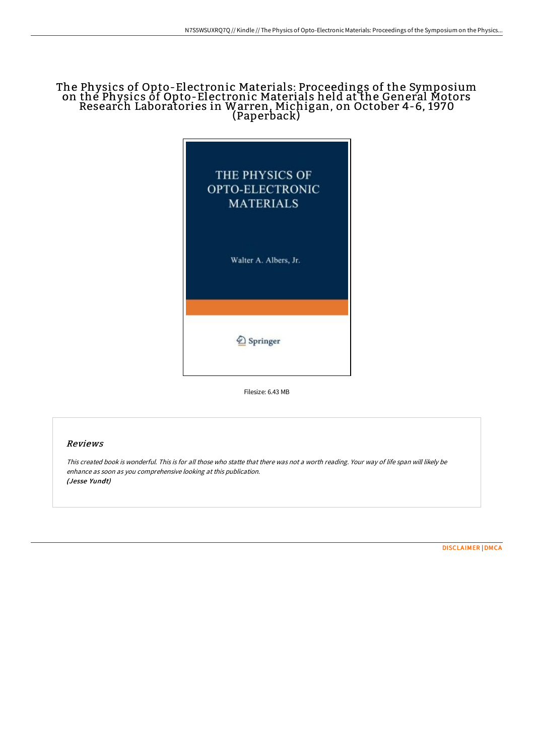## The Physics of Opto-Electronic Materials: Proceedings of the Symposium on the Physics of Opto-Electronic Materials held at the General Motors Research Laboratories in Warren, Michigan, on October 4-6, 1970 (Paperback)



Filesize: 6.43 MB

## Reviews

This created book is wonderful. This is for all those who statte that there was not <sup>a</sup> worth reading. Your way of life span will likely be enhance as soon as you comprehensive looking at this publication. (Jesse Yundt)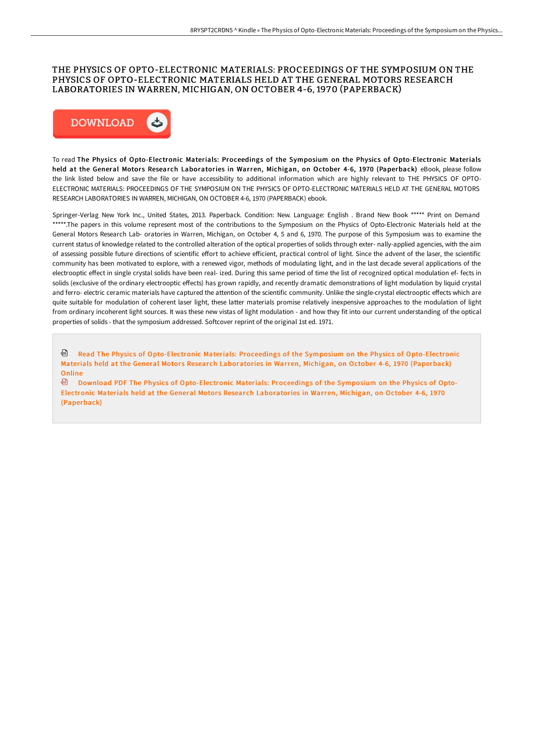## THE PHYSICS OF OPTO-ELECTRONIC MATERIALS: PROCEEDINGS OF THE SYMPOSIUM ON THE PHYSICS OF OPTO-ELECTRONIC MATERIALS HELD AT THE GENERAL MOTORS RESEARCH LABORATORIES IN WARREN, MICHIGAN, ON OCTOBER 4-6, 1970 (PAPERBACK)



To read The Physics of Opto-Electronic Materials: Proceedings of the Symposium on the Physics of Opto-Electronic Materials held at the General Motors Research Laboratories in Warren, Michigan, on October 4-6, 1970 (Paperback) eBook, please follow the link listed below and save the file or have accessibility to additional information which are highly relevant to THE PHYSICS OF OPTO-ELECTRONIC MATERIALS: PROCEEDINGS OF THE SYMPOSIUM ON THE PHYSICS OF OPTO-ELECTRONIC MATERIALS HELD AT THE GENERAL MOTORS RESEARCH LABORATORIES IN WARREN, MICHIGAN, ON OCTOBER 4-6, 1970 (PAPERBACK) ebook.

Springer-Verlag New York Inc., United States, 2013. Paperback. Condition: New. Language: English . Brand New Book \*\*\*\*\* Print on Demand \*\*\*\*\*.The papers in this volume represent most of the contributions to the Symposium on the Physics of Opto-Electronic Materials held at the General Motors Research Lab- oratories in Warren, Michigan, on October 4, 5 and 6, 1970. The purpose of this Symposium was to examine the current status of knowledge related to the controlled alteration of the optical properties of solids through exter- nally-applied agencies, with the aim of assessing possible future directions of scientific effort to achieve efficient, practical control of light. Since the advent of the laser, the scientific community has been motivated to explore, with a renewed vigor, methods of modulating light, and in the last decade several applications of the electrooptic effect in single crystal solids have been real- ized. During this same period of time the list of recognized optical modulation ef- fects in solids (exclusive of the ordinary electrooptic effects) has grown rapidly, and recently dramatic demonstrations of light modulation by liquid crystal and ferro- electric ceramic materials have captured the attention of the scientific community. Unlike the single-crystal electrooptic effects which are quite suitable for modulation of coherent laser light, these latter materials promise relatively inexpensive approaches to the modulation of light from ordinary incoherent light sources. It was these new vistas of light modulation - and how they fit into our current understanding of the optical properties of solids - that the symposium addressed. Softcover reprint of the original 1st ed. 1971.

Read The Physics of Opto-Electronic Materials: Proceedings of the Symposium on the Physics of [Opto-Electronic](http://digilib.live/the-physics-of-opto-electronic-materials-proceed.html) Materials held at the General Motors Research Laboratories in Warren, Michigan, on October 4-6, 1970 (Paperback) Online

டி Download PDF The Physics of [Opto-Electronic](http://digilib.live/the-physics-of-opto-electronic-materials-proceed.html) Materials: Proceedings of the Symposium on the Physics of Opto-Electronic Materials held at the General Motors Research Laboratories in Warren, Michigan, on October 4-6, 1970 (Paperback)